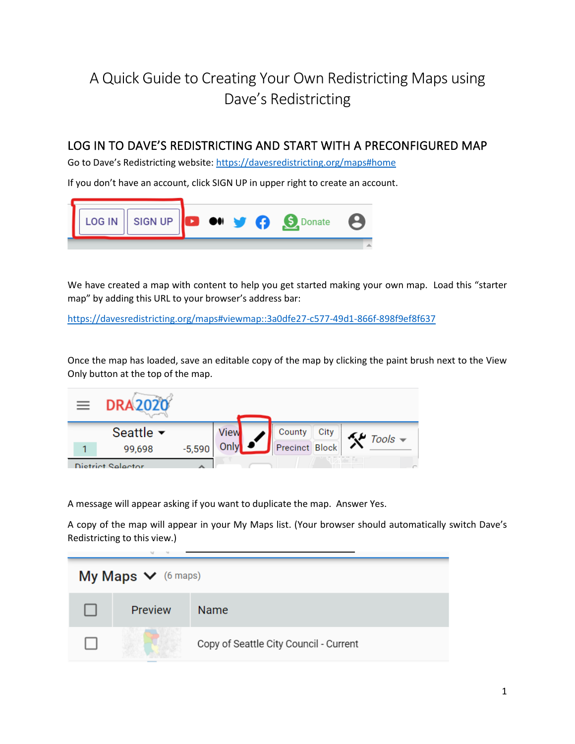# A Quick Guide to Creating Your Own Redistricting Maps using Dave's Redistricting

## LOG IN TO DAVE'S REDISTRICTING AND START WITH A PRECONFIGURED MAP

Go to Dave's Redistricting website: <https://davesredistricting.org/maps#home>

If you don't have an account, click SIGN UP in upper right to create an account.



We have created a map with content to help you get started making your own map. Load this "starter map" by adding this URL to your browser's address bar:

<https://davesredistricting.org/maps#viewmap::3a0dfe27-c577-49d1-866f-898f9ef8f637>

Once the map has loaded, save an editable copy of the map by clicking the paint brush next to the View Only button at the top of the map.



A message will appear asking if you want to duplicate the map. Answer Yes.

A copy of the map will appear in your My Maps list. (Your browser should automatically switch Dave's Redistricting to this view.)

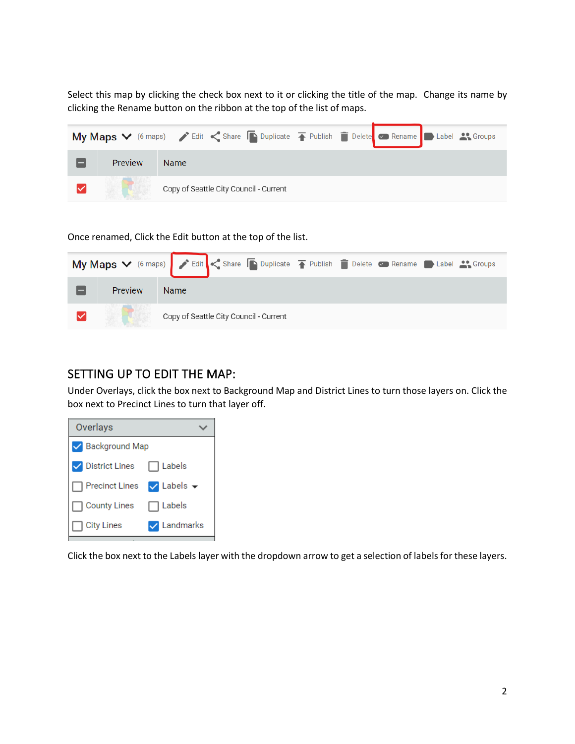Select this map by clicking the check box next to it or clicking the title of the map. Change its name by clicking the Rename button on the ribbon at the top of the list of maps.

|                | My Maps V (6 maps) / Edit < Share Duplicate T Publish Delete B Rename D Label & Groups |
|----------------|----------------------------------------------------------------------------------------|
| <b>Preview</b> | <b>Name</b>                                                                            |
|                | Copy of Seattle City Council - Current                                                 |

Once renamed, Click the Edit button at the top of the list.

|  |                                        | My Maps V (6 maps) > Edit < Share Duplicate T Publish Delete C Rename D Label 3. Groups |
|--|----------------------------------------|-----------------------------------------------------------------------------------------|
|  | <b>Preview</b>                         | <b>Name</b>                                                                             |
|  | Copy of Seattle City Council - Current |                                                                                         |

## SETTING UP TO EDIT THE MAP:

Under Overlays, click the box next to Background Map and District Lines to turn those layers on. Click the box next to Precinct Lines to turn that layer off.

| Overlays              |                      |  |
|-----------------------|----------------------|--|
| Background Map        |                      |  |
| <b>District Lines</b> | Labels               |  |
| <b>Precinct Lines</b> | $\vee$ Labels $\vee$ |  |
| <b>County Lines</b>   | Labels               |  |
| <b>City Lines</b>     | Landmarks            |  |

Click the box next to the Labels layer with the dropdown arrow to get a selection of labels for these layers.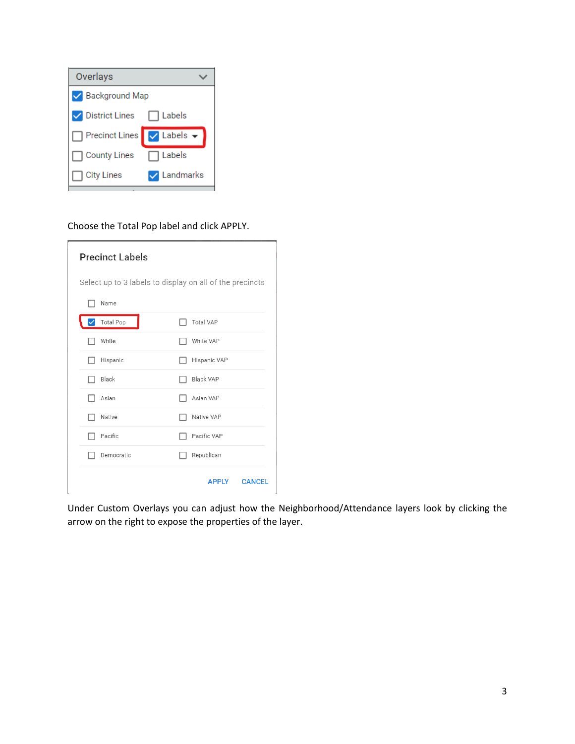| Overlays                  |           |  |
|---------------------------|-----------|--|
| Background Map            |           |  |
| <b>District Lines</b>     | Labels    |  |
| Precinct Lines V Labels ▼ |           |  |
| <b>County Lines</b>       | Labels    |  |
| <b>City Lines</b>         | Landmarks |  |

#### Choose the Total Pop label and click APPLY.

| <b>Precinct Labels</b>                                   |                               |  |  |  |
|----------------------------------------------------------|-------------------------------|--|--|--|
| Select up to 3 labels to display on all of the precincts |                               |  |  |  |
| Name                                                     |                               |  |  |  |
| <b>Total Pop</b>                                         | <b>Total VAP</b>              |  |  |  |
| White                                                    | White VAP                     |  |  |  |
| Hispanic                                                 | Hispanic VAP                  |  |  |  |
| Black<br>. .                                             | <b>Black VAP</b>              |  |  |  |
| Asian                                                    | Asian VAP                     |  |  |  |
| Native                                                   | Native VAP                    |  |  |  |
| Pacific                                                  | Pacific VAP                   |  |  |  |
| Democratic                                               | Republican                    |  |  |  |
|                                                          | <b>APPLY</b><br><b>CANCEL</b> |  |  |  |

Under Custom Overlays you can adjust how the Neighborhood/Attendance layers look by clicking the arrow on the right to expose the properties of the layer.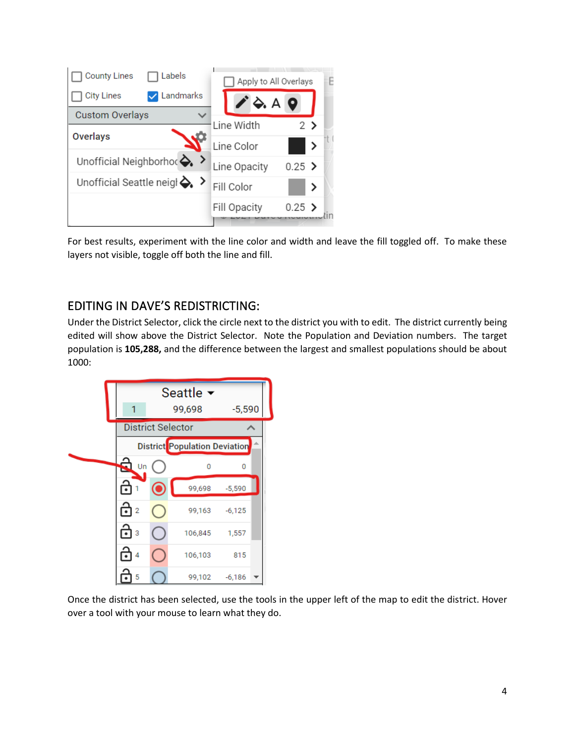

For best results, experiment with the line color and width and leave the fill toggled off. To make these layers not visible, toggle off both the line and fill.

# EDITING IN DAVE'S REDISTRICTING:

Under the District Selector, click the circle next to the district you with to edit. The district currently being edited will show above the District Selector. Note the Population and Deviation numbers. The target population is **105,288,** and the difference between the largest and smallest populations should be about 1000:



Once the district has been selected, use the tools in the upper left of the map to edit the district. Hover over a tool with your mouse to learn what they do.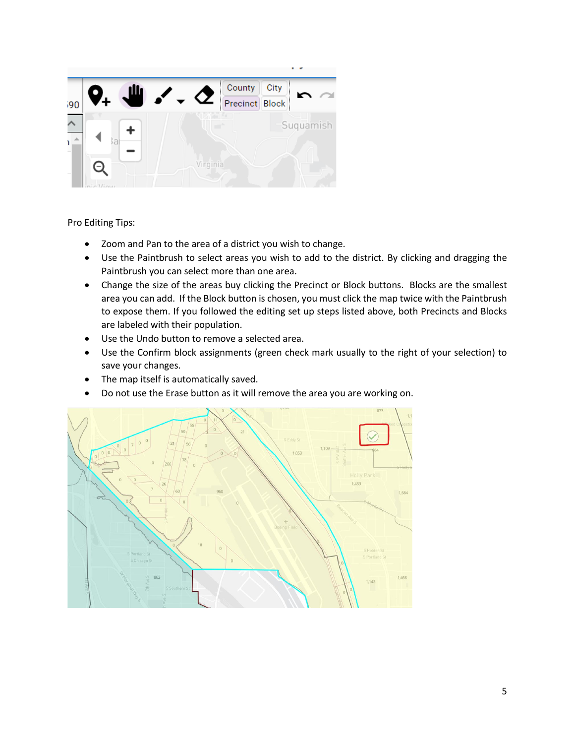

Pro Editing Tips:

- Zoom and Pan to the area of a district you wish to change.
- Use the Paintbrush to select areas you wish to add to the district. By clicking and dragging the Paintbrush you can select more than one area.
- Change the size of the areas buy clicking the Precinct or Block buttons. Blocks are the smallest area you can add. If the Block button is chosen, you must click the map twice with the Paintbrush to expose them. If you followed the editing set up steps listed above, both Precincts and Blocks are labeled with their population.
- Use the Undo button to remove a selected area.
- Use the Confirm block assignments (green check mark usually to the right of your selection) to save your changes.
- The map itself is automatically saved.
- Do not use the Erase button as it will remove the area you are working on.

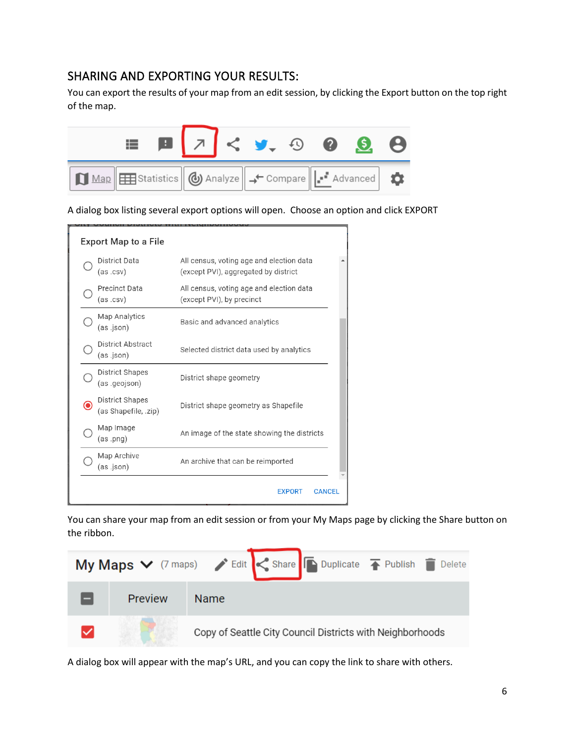## SHARING AND EXPORTING YOUR RESULTS:

You can export the results of your map from an edit session, by clicking the Export button on the top right of the map.



A dialog box listing several export options will open. Choose an option and click EXPORT

| Export Map to a File |                                                |                                                                                  |  |  |  |
|----------------------|------------------------------------------------|----------------------------------------------------------------------------------|--|--|--|
|                      | District Data<br>(as.csv)                      | All census, voting age and election data<br>(except PVI), aggregated by district |  |  |  |
|                      | <b>Precinct Data</b><br>(as.csv)               | All census, voting age and election data<br>(except PVI), by precinct            |  |  |  |
|                      | Map Analytics<br>(as .json)                    | Basic and advanced analytics                                                     |  |  |  |
|                      | District Abstract<br>(as .json)                | Selected district data used by analytics                                         |  |  |  |
|                      | <b>District Shapes</b><br>(as .geojson)        | District shape geometry                                                          |  |  |  |
|                      | <b>District Shapes</b><br>(as Shapefile, .zip) | District shape geometry as Shapefile                                             |  |  |  |
|                      | Map Image<br>(as .png)                         | An image of the state showing the districts                                      |  |  |  |
|                      | Map Archive<br>(as .json)                      | An archive that can be reimported                                                |  |  |  |
|                      |                                                | <b>CANCEL</b><br><b>EXPORT</b>                                                   |  |  |  |

You can share your map from an edit session or from your My Maps page by clicking the Share button on the ribbon.



A dialog box will appear with the map's URL, and you can copy the link to share with others.